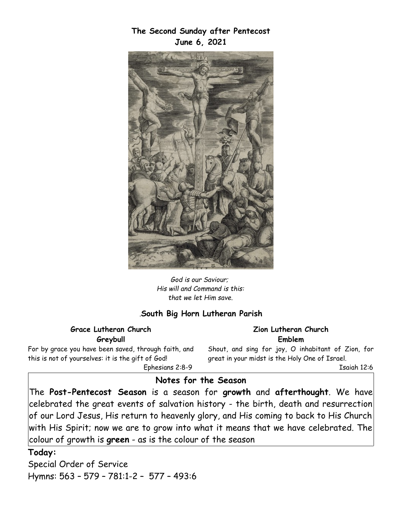**The Second Sunday after Pentecost June 6, 2021**



*God is our Saviour; His will and Command is this: that we let Him save.*

## *.***South Big Horn Lutheran Parish**

#### **Grace Lutheran Church Greybull**

For by grace you have been saved, through faith, and this is not of yourselves: it is the gift of God! Ephesians 2:8-9

**Zion Lutheran Church Emblem**

Shout, and sing for joy, O inhabitant of Zion, for great in your midst is the Holy One of Israel.

Isaiah 12:6

## **Notes for the Season**

The **Post-Pentecost Season** is a season for **growth** and **afterthought**. We have celebrated the great events of salvation history - the birth, death and resurrection of our Lord Jesus, His return to heavenly glory, and His coming to back to His Church with His Spirit; now we are to grow into what it means that we have celebrated. The colour of growth is **green** - as is the colour of the season

#### **Today:**

Special Order of Service Hymns: 563 – 579 – 781:1-2 – 577 – 493:6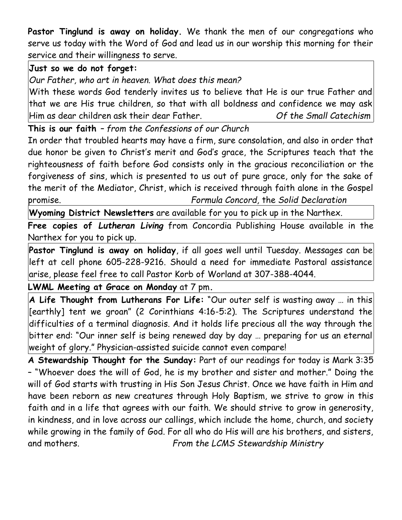**Pastor Tinglund is away on holiday.** We thank the men of our congregations who serve us today with the Word of God and lead us in our worship this morning for their service and their willingness to serve.

# **Just so we do not forget:**

*Our Father, who art in heaven. What does this mean?*

With these words God tenderly invites us to believe that He is our true Father and that we are His true children, so that with all boldness and confidence we may ask Him as dear children ask their dear Father. *Of the Small Catechism*

**This is our faith** *– from the Confessions of our Church*

In order that troubled hearts may have a firm, sure consolation, and also in order that due honor be given to Christ's merit and God's grace, the Scriptures teach that the righteousness of faith before God consists only in the gracious reconciliation or the forgiveness of sins, which is presented to us out of pure grace, only for the sake of the merit of the Mediator, Christ, which is received through faith alone in the Gospel promise. *Formula Concord,* the *Solid Declaration*

**Wyoming District Newsletters** are available for you to pick up in the Narthex.

**Free copies of** *Lutheran Living* from Concordia Publishing House available in the Narthex for you to pick up.

**Pastor Tinglund is away on holiday**, if all goes well until Tuesday. Messages can be left at cell phone 605-228-9216. Should a need for immediate Pastoral assistance arise, please feel free to call Pastor Korb of Worland at 307-388-4044.

**LWML Meeting at Grace on Monday** at 7 pm**.**

**A Life Thought from Lutherans For Life:** "Our outer self is wasting away … in this [earthly] tent we groan" (2 Corinthians 4:16-5:2). The Scriptures understand the difficulties of a terminal diagnosis. And it holds life precious all the way through the bitter end: "Our inner self is being renewed day by day … preparing for us an eternal weight of glory." Physician-assisted suicide cannot even compare!

**A Stewardship Thought for the Sunday:** Part of our readings for today is Mark 3:35 – "Whoever does the will of God, he is my brother and sister and mother." Doing the will of God starts with trusting in His Son Jesus Christ. Once we have faith in Him and have been reborn as new creatures through Holy Baptism, we strive to grow in this faith and in a life that agrees with our faith. We should strive to grow in generosity, in kindness, and in love across our callings, which include the home, church, and society while growing in the family of God. For all who do His will are his brothers, and sisters, and mothers. *From the LCMS Stewardship Ministry*